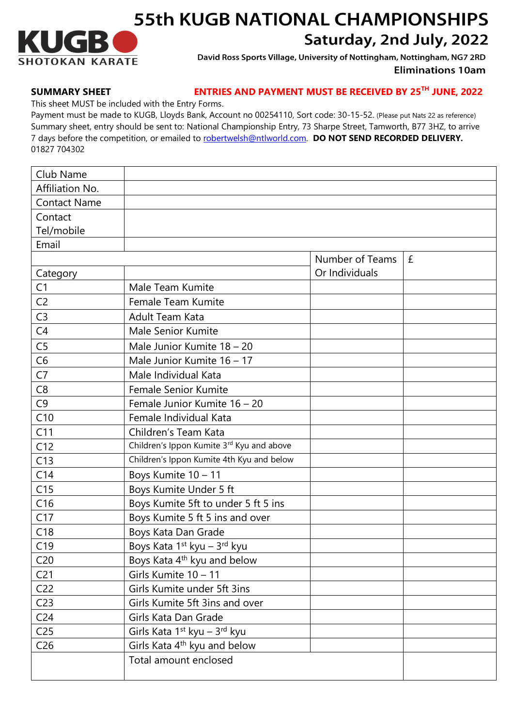

## **55th KUGB NATIONAL CHAMPIONSHIPS** Saturday, 2nd July, 2022

David Ross Sports Village, University of Nottingham, Nottingham, NG7 2RD **Eliminations 10am** 

## **SUMMARY SHEET ENTRIES AND PAYMENT MUST BE RECEIVED BY 25 TH JUNE, 2022**

This sheet MUST be included with the Entry Forms.

Payment must be made to KUGB, Lloyds Bank, Account no 00254110, Sort code: 30-15-52. (Please put Nats 22 as reference) Summary sheet, entry should be sent to: National Championship Entry, 73 Sharpe Street, Tamworth, B77 3HZ, to arrive 7 days before the competition, or emailed to [robertwelsh@ntlworld.com.](mailto:robertwelsh@ntlworld.com) **DO NOT SEND RECORDED DELIVERY.** 01827 704302

| Club Name           |                                                      |                 |   |
|---------------------|------------------------------------------------------|-----------------|---|
| Affiliation No.     |                                                      |                 |   |
| <b>Contact Name</b> |                                                      |                 |   |
| Contact             |                                                      |                 |   |
| Tel/mobile          |                                                      |                 |   |
| Email               |                                                      |                 |   |
|                     |                                                      | Number of Teams | £ |
| Category            |                                                      | Or Individuals  |   |
| C <sub>1</sub>      | Male Team Kumite                                     |                 |   |
| C <sub>2</sub>      | Female Team Kumite                                   |                 |   |
| C <sub>3</sub>      | Adult Team Kata                                      |                 |   |
| C4                  | Male Senior Kumite                                   |                 |   |
| C <sub>5</sub>      | Male Junior Kumite 18 - 20                           |                 |   |
| C6                  | Male Junior Kumite 16 - 17                           |                 |   |
| C7                  | Male Individual Kata                                 |                 |   |
| C <sub>8</sub>      | <b>Female Senior Kumite</b>                          |                 |   |
| C <sub>9</sub>      | Female Junior Kumite 16 - 20                         |                 |   |
| C10                 | Female Individual Kata                               |                 |   |
| C11                 | Children's Team Kata                                 |                 |   |
| C12                 | Children's Ippon Kumite 3rd Kyu and above            |                 |   |
| C13                 | Children's Ippon Kumite 4th Kyu and below            |                 |   |
| C14                 | Boys Kumite 10 - 11                                  |                 |   |
| C15                 | Boys Kumite Under 5 ft                               |                 |   |
| C16                 | Boys Kumite 5ft to under 5 ft 5 ins                  |                 |   |
| C17                 | Boys Kumite 5 ft 5 ins and over                      |                 |   |
| C18                 | Boys Kata Dan Grade                                  |                 |   |
| C19                 | Boys Kata 1 <sup>st</sup> kyu – 3rd kyu              |                 |   |
| C <sub>20</sub>     | Boys Kata 4 <sup>th</sup> kyu and below              |                 |   |
| C <sub>21</sub>     | Girls Kumite 10 - 11                                 |                 |   |
| C <sub>22</sub>     | Girls Kumite under 5ft 3ins                          |                 |   |
| C <sub>23</sub>     | Girls Kumite 5ft 3ins and over                       |                 |   |
| C <sub>24</sub>     | Girls Kata Dan Grade                                 |                 |   |
| C <sub>25</sub>     | Girls Kata 1 <sup>st</sup> kyu – 3 <sup>rd</sup> kyu |                 |   |
| C <sub>26</sub>     | Girls Kata 4 <sup>th</sup> kyu and below             |                 |   |
|                     | Total amount enclosed                                |                 |   |